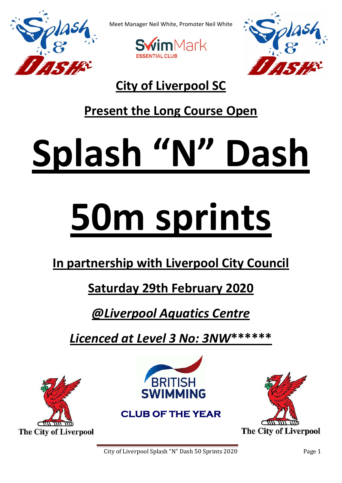

Meet Manager Neil White, Promoter Neil White





## **City of Liverpool SC**

## **Present the Long Course Open**

# **Splash "N" Dash**

## **50m sprints**

## **In partnership with Liverpool City Council**

## **Saturday 29th February 2020**

## *@Liverpool Aquatics Centre*

*Licenced at Level 3 No: 3NW***\*\*\*\*\*\***





**CLUB OF THE YEAR** 



City of Liverpool Splash "N" Dash 50 Sprints 2020 Page 1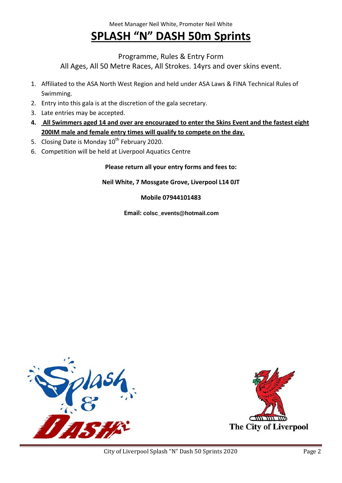## **SPLASH "N" DASH 50m Sprints**

Programme, Rules & Entry Form

All Ages, All 50 Metre Races, All Strokes. 14yrs and over skins event.

- 1. Affiliated to the ASA North West Region and held under ASA Laws & FINA Technical Rules of Swimming.
- 2. Entry into this gala is at the discretion of the gala secretary.
- 3. Late entries may be accepted.
- 4. All Swimmers aged 14 and over are encouraged to enter the Skins Event and the fastest eight **200IM male and female entry times will qualify to compete on the day.**
- 5. Closing Date is Monday 10<sup>th</sup> February 2020.
- 6. Competition will be held at Liverpool Aquatics Centre

**Please return all your entry forms and fees to:**

**Neil White, 7 Mossgate Grove, Liverpool L14 0JT**

#### **Mobile 07944101483**

**Email: colsc\_events@hotmail.com** 



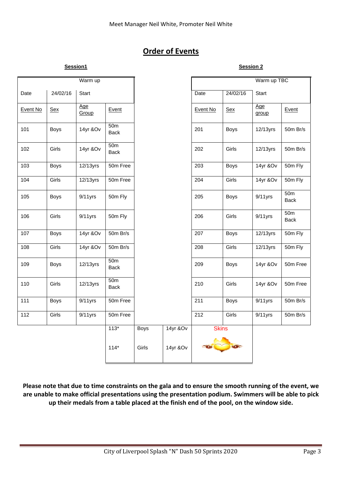#### **Order of Events**

|          |             | Warm up      |                                |             |          |              |             | Warm up TBC  |                                |
|----------|-------------|--------------|--------------------------------|-------------|----------|--------------|-------------|--------------|--------------------------------|
| Date     | 24/02/16    | Start        |                                |             |          | Date         | 24/02/16    | Start        |                                |
| Event No | <b>Sex</b>  | Age<br>Group | Event                          |             |          | Event No     | <b>Sex</b>  | Age<br>group | Event                          |
| 101      | <b>Boys</b> | 14yr &Ov     | 50 <sub>m</sub><br><b>Back</b> |             |          | 201          | <b>Boys</b> | 12/13yrs     | 50m Br/s                       |
| 102      | Girls       | 14yr &Ov     | 50 <sub>m</sub><br><b>Back</b> |             |          | 202          | Girls       | 12/13yrs     | 50m Br/s                       |
| 103      | <b>Boys</b> | 12/13yrs     | 50m Free                       |             |          | 203          | <b>Boys</b> | 14yr &Ov     | 50m Fly                        |
| 104      | Girls       | 12/13yrs     | 50m Free                       |             |          | 204          | Girls       | 14yr &Ov     | 50m Fly                        |
| 105      | <b>Boys</b> | $9/11$ yrs   | 50m Fly                        |             |          | 205          | <b>Boys</b> | $9/11$ yrs   | 50 <sub>m</sub><br><b>Back</b> |
| 106      | Girls       | $9/11$ yrs   | 50m Fly                        |             |          | 206          | Girls       | $9/11$ yrs   | 50 <sub>m</sub><br><b>Back</b> |
| 107      | <b>Boys</b> | 14yr &Ov     | 50m Br/s                       |             |          | 207          | <b>Boys</b> | 12/13yrs     | 50m Fly                        |
| 108      | Girls       | 14yr &Ov     | 50m Br/s                       |             |          | 208          | Girls       | 12/13yrs     | 50m Fly                        |
| 109      | <b>Boys</b> | 12/13yrs     | 50 <sub>m</sub><br><b>Back</b> |             |          | 209          | <b>Boys</b> | 14yr &Ov     | 50m Free                       |
| 110      | Girls       | 12/13yrs     | 50 <sub>m</sub><br><b>Back</b> |             |          | 210          | Girls       | 14yr &Ov     | 50m Free                       |
| 111      | <b>Boys</b> | $9/11$ yrs   | 50m Free                       |             |          | 211          | <b>Boys</b> | $9/11$ yrs   | 50m Br/s                       |
| 112      | Girls       | $9/11$ yrs   | 50m Free                       |             |          | 212          | Girls       | $9/11$ yrs   | 50m Br/s                       |
|          |             |              | $113*$                         | <b>Boys</b> | 14yr &Ov | <b>Skins</b> |             |              |                                |
|          |             |              | $114*$                         | Girls       | 14yr &Ov |              |             |              |                                |

Please note that due to time constraints on the gala and to ensure the smooth running of the event, we **are unable to make official presentations using the presentation podium. Swimmers will be able to pick up their medals from a table placed at the finish end of the pool, on the window side.**

**Session1** Session 2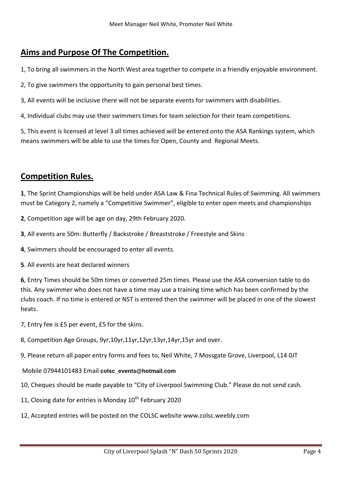#### **Aims and Purpose Of The Competition.**

1, To bring all swimmers in the North West area together to compete in a friendly enjoyable environment.

2, To give swimmers the opportunity to gain personal best times.

3, All events will be inclusive there will not be separate events for swimmers with disabilities.

4, Individual clubs may use their swimmers times for team selection for their team competitions.

5, This event is licensed at level 3 all times achieved will be entered onto the ASA Rankings system, which means swimmers will be able to use the times for Open, County and Regional Meets.

#### **Competition Rules.**

**1**, The Sprint Championships will be held under ASA Law & Fina Technical Rules of Swimming. All swimmers must be Category 2, namely a "Competitive Swimmer", eligible to enter open meets and championships

- **2**, Competition age will be age on day, 29th February 2020.
- **3**, All events are 50m: Butterfly / Backstroke / Breaststroke / Freestyle and Skins
- **4**, Swimmers should be encouraged to enter all events.
- **5**. All events are heat declared winners

**6**, Entry Times should be 50m times or converted 25m times. Please use the ASA conversion table to do this. Any swimmer who does not have a time may use a training time which has been confirmed by the clubs coach. If no time is entered or NST is entered then the swimmer will be placed in one of the slowest heats.

- 7, Entry fee is £5 per event, £5 for the skins.
- 8, Competition Age Groups, 9yr,10yr,11yr,12yr,13yr,14yr,15yr and over.
- 9, Please return all paper entry forms and fees to, Neil White, 7 Mossgate Grove, Liverpool, L14 0JT

#### Mobile 07944101483 Email **colsc\_events@hotmail.com**

- 10, Cheques should be made payable to "City of Liverpool Swimming Club." Please do not send cash.
- 11, Closing date for entries is Monday  $10^{th}$  February 2020
- 12, Accepted entries will be posted on the COLSC website www.colsc.weebly.com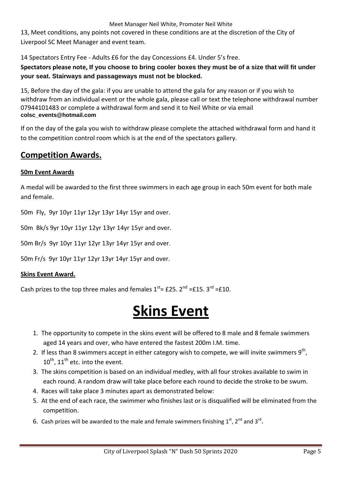#### Meet Manager Neil White, Promoter Neil White

13, Meet conditions, any points not covered in these conditions are at the discretion of the City of Liverpool SC Meet Manager and event team.

14 Spectators Entry Fee ‐ Adults £6 for the day Concessions £4. Under 5's free.

**Spectators please note, If you choose to bring cooler boxes they must be of a size that will fit under your seat. Stairways and passageways must not be blocked.** 

15, Before the day of the gala: if you are unable to attend the gala for any reason or if you wish to withdraw from an individual event or the whole gala, please call or text the telephone withdrawal number 07944101483 or complete a withdrawal form and send it to Neil White or via email **colsc\_events@hotmail.com** 

If on the day of the gala you wish to withdraw please complete the attached withdrawal form and hand it to the competition control room which is at the end of the spectators gallery.

#### **Competition Awards.**

#### **50m Event Awards**

A medal will be awarded to the first three swimmers in each age group in each 50m event for both male and female.

50m Fly, 9yr 10yr 11yr 12yr 13yr 14yr 15yr and over.

50m Bk/s 9yr 10yr 11yr 12yr 13yr 14yr 15yr and over.

50m Br/s 9yr 10yr 11yr 12yr 13yr 14yr 15yr and over.

50m Fr/s 9yr 10yr 11yr 12yr 13yr 14yr 15yr and over.

#### **Skins Event Award.**

Cash prizes to the top three males and females  $1<sup>st</sup>$  = £25. 2<sup>nd</sup> =£15. 3<sup>rd</sup> =£10.

## **Skins Event**

- 1. The opportunity to compete in the skins event will be offered to 8 male and 8 female swimmers aged 14 years and over, who have entered the fastest 200m I.M. time.
- 2. If less than 8 swimmers accept in either category wish to compete, we will invite swimmers  $9<sup>th</sup>$ ,  $10^{\text{th}}$ ,  $11^{\text{th}}$  etc. into the event.
- 3. The skins competition is based on an individual medley, with all four strokes available to swim in each round. A random draw will take place before each round to decide the stroke to be swum.
- 4. Races will take place 3 minutes apart as demonstrated below:
- 5. At the end of each race, the swimmer who finishes last or is disqualified will be eliminated from the competition.
- 6. Cash prizes will be awarded to the male and female swimmers finishing  $1^{st}$ ,  $2^{nd}$  and  $3^{rd}$ .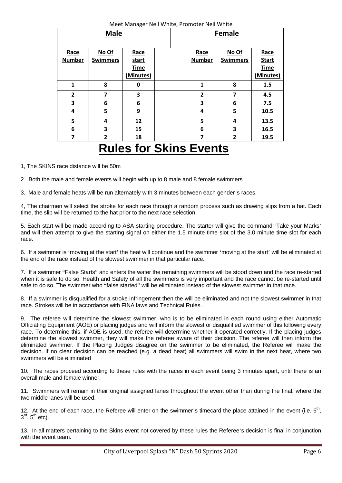| <b>Male</b>           |                          |                              |       |  |                       | <b>Female</b>            |                                     |
|-----------------------|--------------------------|------------------------------|-------|--|-----------------------|--------------------------|-------------------------------------|
| Race<br><b>Number</b> | No Of<br><b>Swimmers</b> | Race<br>start<br><b>Time</b> |       |  | Race<br><b>Number</b> | No Of<br><b>Swimmers</b> | Race<br><b>Start</b><br><b>Time</b> |
|                       |                          | (Minutes)                    |       |  |                       |                          | (Minutes)                           |
| $\mathbf{1}$          | 8                        | 0                            |       |  | 1                     | 8                        | 1.5                                 |
| 2                     | 7                        | 3                            |       |  | $\overline{2}$        | 7                        | 4.5                                 |
| 3                     | 6                        | 6                            |       |  | 3                     | 6                        | 7.5                                 |
| 4                     | 5                        | 9                            |       |  | 4                     | 5                        | 10.5                                |
| 5                     | 4                        | 12                           |       |  | 5                     | 4                        | 13.5                                |
| 6                     | 3                        | 15                           |       |  | 6                     | 3                        | 16.5                                |
| 7                     | $\overline{2}$           | 18                           |       |  | 7                     | $\overline{2}$           | 19.5                                |
|                       | п                        | -                            | - - - |  |                       |                          |                                     |

Meet Manager Neil White, Promoter Neil White

## **Rules for Skins Events**

1, The SKINS race distance will be 50m

2. Both the male and female events will begin with up to 8 male and 8 female swimmers

3. Male and female heats will be run alternately with 3 minutes between each gender's races.

4, The chairmen will select the stroke for each race through a random process such as drawing slips from a hat. Each time, the slip will be returned to the hat prior to the next race selection.

5. Each start will be made according to ASA starting procedure. The starter will give the command 'Take your Marks' and will then attempt to give the starting signal on either the 1.5 minute time slot of the 3.0 minute time slot for each race.

6. If a swimmer is 'moving at the start' the heat will continue and the swimmer 'moving at the start' will be eliminated at the end of the race instead of the slowest swimmer in that particular race.

7. If a swimmer "False Starts" and enters the water the remaining swimmers will be stood down and the race re-started when it is safe to do so. Health and Safety of all the swimmers is very important and the race cannot be re-started until safe to do so. The swimmer who "false started" will be eliminated instead of the slowest swimmer in that race.

8. If a swimmer is disqualified for a stroke infringement then the will be eliminated and not the slowest swimmer in that race. Strokes will be in accordance with FINA laws and Technical Rules.

9. The referee will determine the slowest swimmer, who is to be eliminated in each round using either Automatic Officiating Equipment (AOE) or placing judges and will inform the slowest or disqualified swimmer of this following every race. To determine this, if AOE is used, the referee will determine whether it operated correctly. If the placing judges determine the slowest swimmer, they will make the referee aware of their decision. The referee will then inform the eliminated swimmer. If the Placing Judges disagree on the swimmer to be eliminated, the Referee will make the decision. If no clear decision can be reached (e.g. a dead heat) all swimmers will swim in the next heat, where two swimmers will be eliminated

10. The races proceed according to these rules with the races in each event being 3 minutes apart, until there is an overall male and female winner.

11. Swimmers will remain in their original assigned lanes throughout the event other than during the final, where the two middle lanes will be used.

12. At the end of each race, the Referee will enter on the swimmer's timecard the place attained in the event (i.e.  $6<sup>th</sup>$ ,  $3<sup>rd</sup>$ ,  $5<sup>th</sup>$  etc).

13. In all matters pertaining to the Skins event not covered by these rules the Referee's decision is final in conjunction with the event team.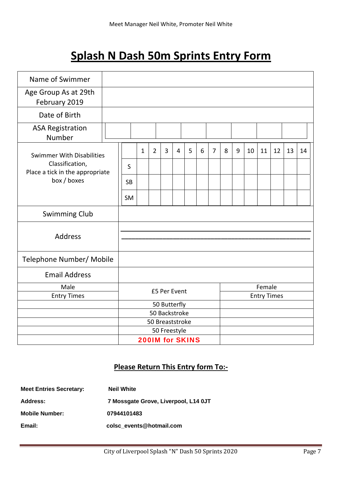## **Splash N Dash 50m Sprints Entry Form**

| Name of Swimmer                                    |  |                                        |              |                |              |   |   |        |                |   |   |    |                    |    |    |    |
|----------------------------------------------------|--|----------------------------------------|--------------|----------------|--------------|---|---|--------|----------------|---|---|----|--------------------|----|----|----|
| Age Group As at 29th<br>February 2019              |  |                                        |              |                |              |   |   |        |                |   |   |    |                    |    |    |    |
| Date of Birth                                      |  |                                        |              |                |              |   |   |        |                |   |   |    |                    |    |    |    |
| <b>ASA Registration</b><br>Number                  |  |                                        |              |                |              |   |   |        |                |   |   |    |                    |    |    |    |
| <b>Swimmer With Disabilities</b>                   |  |                                        | $\mathbf{1}$ | $\overline{2}$ | 3            | 4 | 5 | 6      | $\overline{7}$ | 8 | 9 | 10 | 11                 | 12 | 13 | 14 |
| Classification,<br>Place a tick in the appropriate |  | S                                      |              |                |              |   |   |        |                |   |   |    |                    |    |    |    |
| box / boxes                                        |  | <b>SB</b>                              |              |                |              |   |   |        |                |   |   |    |                    |    |    |    |
|                                                    |  | <b>SM</b>                              |              |                |              |   |   |        |                |   |   |    |                    |    |    |    |
| <b>Swimming Club</b>                               |  |                                        |              |                |              |   |   |        |                |   |   |    |                    |    |    |    |
| <b>Address</b>                                     |  |                                        |              |                |              |   |   |        |                |   |   |    |                    |    |    |    |
| Telephone Number/ Mobile                           |  |                                        |              |                |              |   |   |        |                |   |   |    |                    |    |    |    |
| <b>Email Address</b>                               |  |                                        |              |                |              |   |   |        |                |   |   |    |                    |    |    |    |
| Male                                               |  | £5 Per Event                           |              |                |              |   |   | Female |                |   |   |    |                    |    |    |    |
| <b>Entry Times</b>                                 |  |                                        |              |                |              |   |   |        |                |   |   |    | <b>Entry Times</b> |    |    |    |
|                                                    |  |                                        |              |                | 50 Butterfly |   |   |        |                |   |   |    |                    |    |    |    |
|                                                    |  | 50 Backstroke                          |              |                |              |   |   |        |                |   |   |    |                    |    |    |    |
|                                                    |  | 50 Breaststroke                        |              |                |              |   |   |        |                |   |   |    |                    |    |    |    |
|                                                    |  | 50 Freestyle<br><b>200IM for SKINS</b> |              |                |              |   |   |        |                |   |   |    |                    |    |    |    |
|                                                    |  |                                        |              |                |              |   |   |        |                |   |   |    |                    |    |    |    |

#### **Please Return This Entry form To:‐**

| <b>Meet Entries Secretary:</b> | <b>Neil White</b>                    |
|--------------------------------|--------------------------------------|
| Address:                       | 7 Mossgate Grove, Liverpool, L14 0JT |
| <b>Mobile Number:</b>          | 07944101483                          |
| Email:                         | colsc events@hotmail.com             |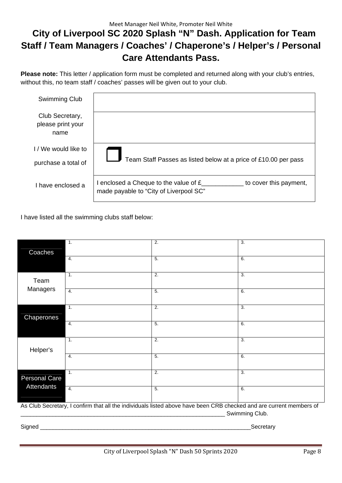#### Meet Manager Neil White, Promoter Neil White  **City of Liverpool SC 2020 Splash "N" Dash. Application for Team Staff / Team Managers / Coaches' / Chaperone's / Helper's / Personal Care Attendants Pass.**

**Please note:** This letter / application form must be completed and returned along with your club's entries, without this, no team staff / coaches' passes will be given out to your club.

| Swimming Club                                |                                                                                                                          |
|----------------------------------------------|--------------------------------------------------------------------------------------------------------------------------|
| Club Secretary,<br>please print your<br>name |                                                                                                                          |
| I / We would like to<br>purchase a total of  | Team Staff Passes as listed below at a price of £10.00 per pass                                                          |
| I have enclosed a                            | I enclosed a Cheque to the value of $f_{\text{max}}$<br>to cover this payment,<br>made payable to "City of Liverpool SC" |

I have listed all the swimming clubs staff below:

|                     | $\overline{1}$ .                                                                                                    | $\overline{2}$ . | $\overline{3}$ . |
|---------------------|---------------------------------------------------------------------------------------------------------------------|------------------|------------------|
| Coaches             |                                                                                                                     |                  |                  |
|                     | 4.                                                                                                                  | $\overline{5}$ . | 6.               |
|                     |                                                                                                                     |                  |                  |
| Team                | $\mathbf{1}$ .                                                                                                      | $\overline{2}$ . | $\overline{3}$ . |
| Managers            |                                                                                                                     |                  |                  |
|                     | $\overline{4}$ .                                                                                                    | 5.               | 6.               |
|                     |                                                                                                                     |                  |                  |
|                     | $\overline{1}$ .                                                                                                    | $\overline{2}$ . | $\overline{3}$ . |
| Chaperones          |                                                                                                                     |                  |                  |
|                     | 4.                                                                                                                  | 5.               | 6.               |
|                     |                                                                                                                     |                  |                  |
|                     | $\mathbf{1}$ .                                                                                                      | 2.               | 3.               |
| Helper's            |                                                                                                                     |                  |                  |
|                     | 4.                                                                                                                  | 5.               | 6.               |
|                     |                                                                                                                     |                  |                  |
| Personal Care       | $\overline{1}$ .                                                                                                    | $\overline{2}$ . | $\overline{3}$ . |
| Attendants          |                                                                                                                     |                  |                  |
|                     | 4.                                                                                                                  | 5.               | 6.               |
|                     |                                                                                                                     |                  |                  |
|                     | As Club Secretary, I confirm that all the individuals listed above have been CRB checked and are current members of |                  |                  |
|                     |                                                                                                                     |                  | Swimming Club.   |
| Signed<br>Secretary |                                                                                                                     |                  |                  |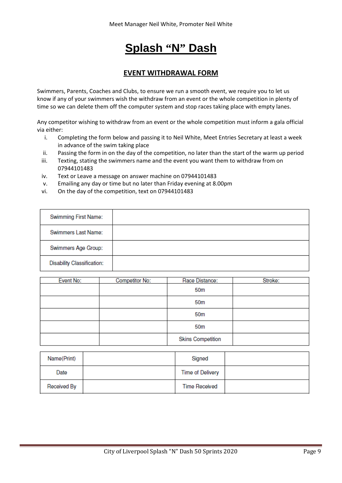## **Splash "N" Dash**

#### **EVENT WITHDRAWAL FORM**

Swimmers, Parents, Coaches and Clubs, to ensure we run a smooth event, we require you to let us know if any of your swimmers wish the withdraw from an event or the whole competition in plenty of time so we can delete them off the computer system and stop races taking place with empty lanes.

Any competitor wishing to withdraw from an event or the whole competition must inform a gala official via either:

- i. Completing the form below and passing it to Neil White, Meet Entries Secretary at least a week in advance of the swim taking place
- ii. Passing the form in on the day of the competition, no later than the start of the warm up period
- iii. Texting, stating the swimmers name and the event you want them to withdraw from on 07944101483
- iv. Text or Leave a message on answer machine on 07944101483
- v. Emailing any day or time but no later than Friday evening at 8.00pm
- vi. On the day of the competition, text on 07944101483

| Swimming First Name:              |  |
|-----------------------------------|--|
| Swimmers Last Name:               |  |
| Swimmers Age Group:               |  |
| <b>Disability Classification:</b> |  |

| Event No: | Competitor No: | Race Distance:           | Stroke: |
|-----------|----------------|--------------------------|---------|
|           |                | 50m                      |         |
|           |                | 50m                      |         |
|           |                | 50m                      |         |
|           |                | 50m                      |         |
|           |                | <b>Skins Competition</b> |         |

| Name(Print) | Signed                  |  |
|-------------|-------------------------|--|
| Date        | <b>Time of Delivery</b> |  |
| Received By | <b>Time Received</b>    |  |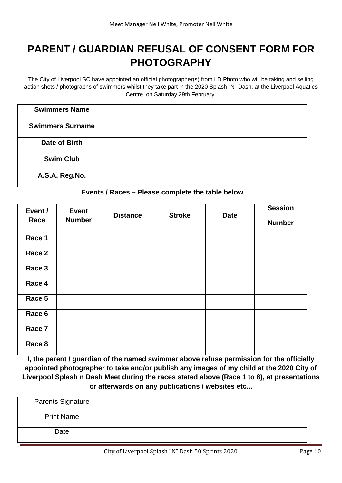### **PARENT / GUARDIAN REFUSAL OF CONSENT FORM FOR PHOTOGRAPHY**

The City of Liverpool SC have appointed an official photographer(s) from LD Photo who will be taking and selling action shots / photographs of swimmers whilst they take part in the 2020 Splash "N" Dash, at the Liverpool Aquatics Centre on Saturday 29th February.

| <b>Swimmers Name</b>    |  |
|-------------------------|--|
| <b>Swimmers Surname</b> |  |
| Date of Birth           |  |
| <b>Swim Club</b>        |  |
| A.S.A. Reg.No.          |  |

#### **Events / Races – Please complete the table below**

| Event /<br>Race | <b>Event</b><br><b>Number</b> | <b>Distance</b> | <b>Stroke</b> | <b>Date</b> | <b>Session</b><br><b>Number</b> |
|-----------------|-------------------------------|-----------------|---------------|-------------|---------------------------------|
| Race 1          |                               |                 |               |             |                                 |
| Race 2          |                               |                 |               |             |                                 |
| Race 3          |                               |                 |               |             |                                 |
| Race 4          |                               |                 |               |             |                                 |
| Race 5          |                               |                 |               |             |                                 |
| Race 6          |                               |                 |               |             |                                 |
| Race 7          |                               |                 |               |             |                                 |
| Race 8          |                               |                 |               |             |                                 |

**I, the parent / guardian of the named swimmer above refuse permission for the officially appointed photographer to take and/or publish any images of my child at the 2020 City of Liverpool Splash n Dash Meet during the races stated above (Race 1 to 8), at presentations or afterwards on any publications / websites etc...** 

| <b>Parents Signature</b> |  |
|--------------------------|--|
| <b>Print Name</b>        |  |
| Date                     |  |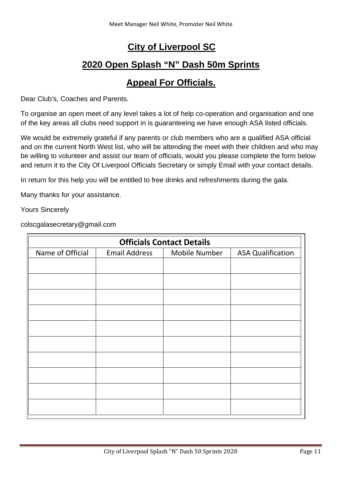#### **City of Liverpool SC**

### **2020 Open Splash "N" Dash 50m Sprints**

#### **Appeal For Officials.**

Dear Club's, Coaches and Parents.

To organise an open meet of any level takes a lot of help co-operation and organisation and one of the key areas all clubs need support in is guaranteeing we have enough ASA listed officials.

We would be extremely grateful if any parents or club members who are a qualified ASA official and on the current North West list, who will be attending the meet with their children and who may be willing to volunteer and assist our team of officials, would you please complete the form below and return it to the City Of Liverpool Officials Secretary or simply Email with your contact details.

In return for this help you will be entitled to free drinks and refreshments during the gala.

Many thanks for your assistance.

Yours Sincerely

colscgalasecretary@gmail.com

| <b>Officials Contact Details</b> |                      |               |                          |  |  |  |
|----------------------------------|----------------------|---------------|--------------------------|--|--|--|
| Name of Official                 | <b>Email Address</b> | Mobile Number | <b>ASA Qualification</b> |  |  |  |
|                                  |                      |               |                          |  |  |  |
|                                  |                      |               |                          |  |  |  |
|                                  |                      |               |                          |  |  |  |
|                                  |                      |               |                          |  |  |  |
|                                  |                      |               |                          |  |  |  |
|                                  |                      |               |                          |  |  |  |
|                                  |                      |               |                          |  |  |  |
|                                  |                      |               |                          |  |  |  |
|                                  |                      |               |                          |  |  |  |
|                                  |                      |               |                          |  |  |  |
|                                  |                      |               |                          |  |  |  |
|                                  |                      |               |                          |  |  |  |
|                                  |                      |               |                          |  |  |  |
|                                  |                      |               |                          |  |  |  |
|                                  |                      |               |                          |  |  |  |